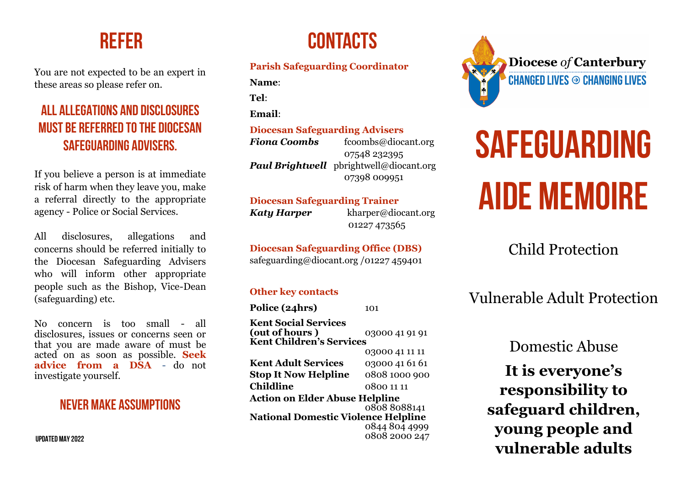You are not expected to be an expert in these areas so please refer on.

# **ALL ALLEGATIONS AND DISCLOSURES MUST BE REFERRED TO THE DIOCESAN SAFEGUARDING ADVISERS.**

If you believe a person is at immediate risk of harm when they leave you, make a referral directly to the appropriate agency - Police or Social Services.

All disclosures, allegations and concerns should be referred initially to the Diocesan Safeguarding Advisers who will inform other appropriate people such as the Bishop, Vice-Dean (safeguarding) etc.

No concern is too small - all disclosures, issues or concerns seen or that you are made aware of must be acted on as soon as possible. **Seek advice from a DSA** - do not investigate yourself.

# **Never make assumptions**

**Updated May 2022**

# **REFER CONTACTS**

### **Parish Safeguarding Coordinator**

**Name**:

**Tel**:

**Email**:

#### **Diocesan Safeguarding Advisers**

*Fiona Coombs* from from from the food form of *Fiona Coombs* from the *foodball*  07548 232395 *Paul Brightwell* pbrightwell@diocant.org 07398 009951

#### **Diocesan Safeguarding Trainer**

*Katy Harper* kharper@diocant.org 01227 473565

**Diocesan Safeguarding Office (DBS)** safeguarding@diocant.org /01227 459401

### **Other key contacts**

**Police (24hrs)** 101 **Kent Social Services (out of hours )** 03000 41 91 91 **Kent Children's Services**  03000 41 11 11 **Kent Adult Services** 03000 41 61 61 **Stop It Now Helpline** 0808 1000 900 **Childline** 0800 11 11 **Action on Elder Abuse Helpline** 0808 8088141 **National Domestic Violence Helpline** 0844 804 4999 0808 2000 247



# **SAFEGUARDING AIDE MEMOIRE**

# Child Protection

# Vulnerable Adult Protection

Domestic Abuse

**It is everyone's responsibility to safeguard children, young people and vulnerable adults**